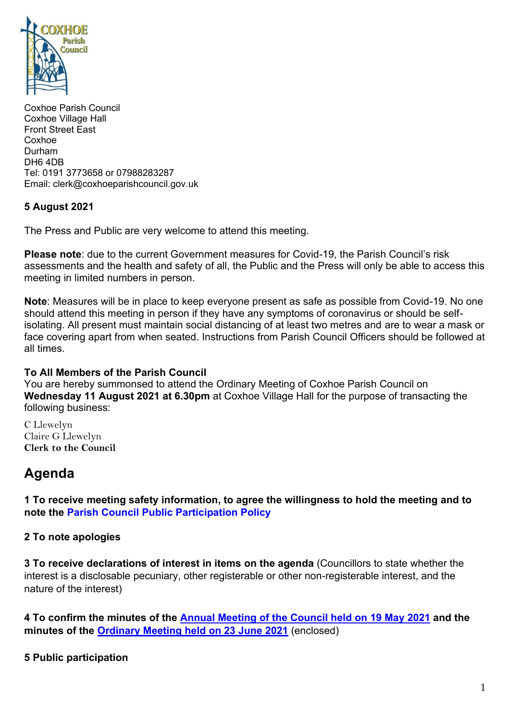

Coxhoe Parish Council Coxhoe Village Hall Front Street East Coxhoe Durham DH6 4DB Tel: 0191 3773658 or 07988283287 Email: clerk@coxhoeparishcouncil.gov.uk

### **5 August 2021**

The Press and Public are very welcome to attend this meeting.

**Please note**: due to the current Government measures for Covid-19, the Parish Council's risk assessments and the health and safety of all, the Public and the Press will only be able to access this meeting in limited numbers in person.

**Note**: Measures will be in place to keep everyone present as safe as possible from Covid-19. No one should attend this meeting in person if they have any symptoms of coronavirus or should be selfisolating. All present must maintain social distancing of at least two metres and are to wear a mask or face covering apart from when seated. Instructions from Parish Council Officers should be followed at all times.

#### **To All Members of the Parish Council**

You are hereby summonsed to attend the Ordinary Meeting of Coxhoe Parish Council on **Wednesday 11 August 2021 at 6.30pm** at Coxhoe Village Hall for the purpose of transacting the following business:

C Llewelyn Claire G Llewelyn **Clerk to the Council** 

# **Agenda**

**1 To receive meeting safety information, to agree the willingness to hold the meeting and to note the [Parish Council Public Participation Policy](http://coxhoeparishcouncil.gov.uk/important-documents-and-policies/public-participation-policy-fmarch-2020-review-date-march-2022/)**

#### **2 To note apologies**

**3 To receive declarations of interest in items on the agenda** (Councillors to state whether the interest is a disclosable pecuniary, other registerable or other non-registerable interest, and the nature of the interest)

**4 To confirm the minutes of the [Annual Meeting of the Council held on](https://1drv.ms/b/s!Alg_TKmu7xwUgb5tuN1Tthwg9F4ejg?e=ld1gdU) 19 May 2021 and the minutes of the [Ordinary Meeting held on 23 June 2021](https://1drv.ms/b/s!Alg_TKmu7xwUgb5uXRx133Hq3tDR6A?e=PjlfzX)** (enclosed)

**5 Public participation**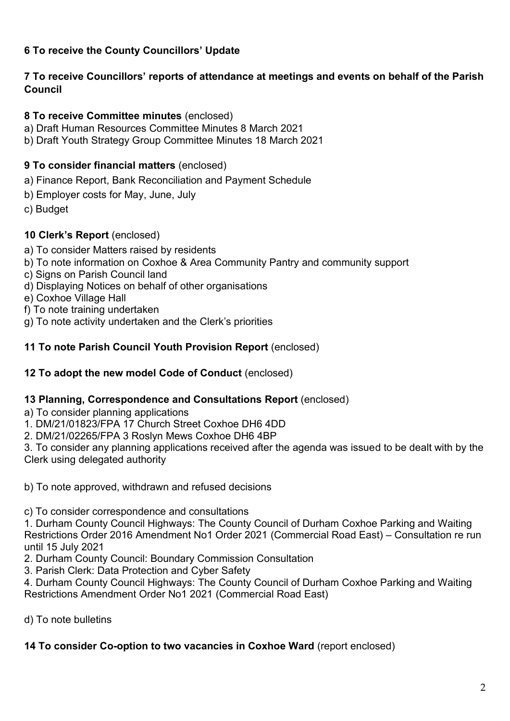## **6 To receive the County Councillors' Update**

## **7 To receive Councillors' reports of attendance at meetings and events on behalf of the Parish Council**

## **8 To receive Committee minutes** (enclosed)

- a) Draft Human Resources Committee Minutes 8 March 2021
- b) Draft Youth Strategy Group Committee Minutes 18 March 2021

## **9 To consider financial matters** (enclosed)

- a) Finance Report, Bank Reconciliation and Payment Schedule
- b) Employer costs for May, June, July
- c) Budget

## **10 Clerk's Report** (enclosed)

- a) To consider Matters raised by residents
- b) To note information on Coxhoe & Area Community Pantry and community support
- c) Signs on Parish Council land
- d) Displaying Notices on behalf of other organisations
- e) Coxhoe Village Hall
- f) To note training undertaken
- g) To note activity undertaken and the Clerk's priorities

## **11 To note Parish Council Youth Provision Report** (enclosed)

## **12 To adopt the new model Code of Conduct** (enclosed)

### **13 Planning, Correspondence and Consultations Report** (enclosed)

- a) To consider planning applications
- 1. DM/21/01823/FPA 17 Church Street Coxhoe DH6 4DD
- 2. DM/21/02265/FPA 3 Roslyn Mews Coxhoe DH6 4BP

3. To consider any planning applications received after the agenda was issued to be dealt with by the Clerk using delegated authority

b) To note approved, withdrawn and refused decisions

c) To consider correspondence and consultations

1. Durham County Council Highways: The County Council of Durham Coxhoe Parking and Waiting Restrictions Order 2016 Amendment No1 Order 2021 (Commercial Road East) – Consultation re run until 15 July 2021

- 2. Durham County Council: Boundary Commission Consultation
- 3. Parish Clerk: Data Protection and Cyber Safety

4. Durham County Council Highways: The County Council of Durham Coxhoe Parking and Waiting Restrictions Amendment Order No1 2021 (Commercial Road East)

d) To note bulletins

## **14 To consider Co-option to two vacancies in Coxhoe Ward** (report enclosed)